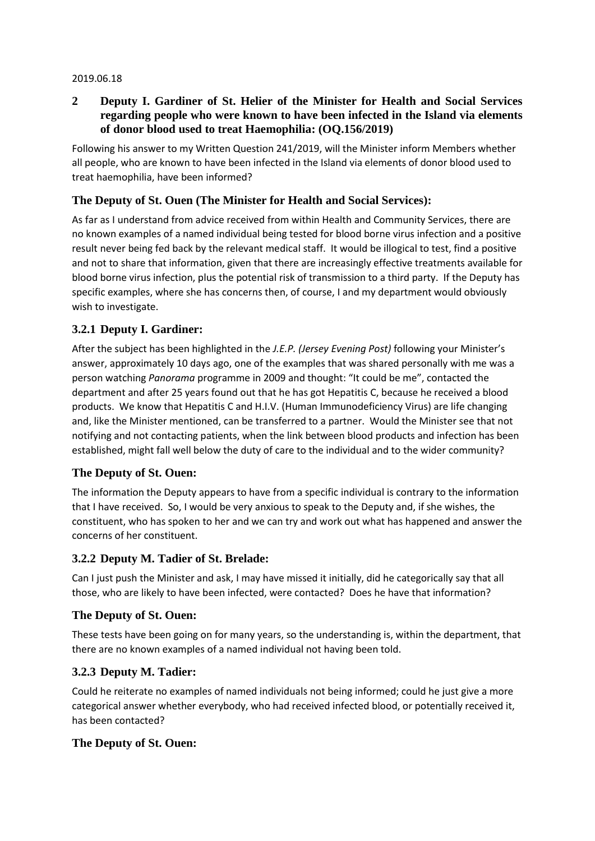#### 2019.06.18

### **2 Deputy I. Gardiner of St. Helier of the Minister for Health and Social Services regarding people who were known to have been infected in the Island via elements of donor blood used to treat Haemophilia: (OQ.156/2019)**

Following his answer to my Written Question 241/2019, will the Minister inform Members whether all people, who are known to have been infected in the Island via elements of donor blood used to treat haemophilia, have been informed?

## **The Deputy of St. Ouen (The Minister for Health and Social Services):**

As far as I understand from advice received from within Health and Community Services, there are no known examples of a named individual being tested for blood borne virus infection and a positive result never being fed back by the relevant medical staff. It would be illogical to test, find a positive and not to share that information, given that there are increasingly effective treatments available for blood borne virus infection, plus the potential risk of transmission to a third party. If the Deputy has specific examples, where she has concerns then, of course, I and my department would obviously wish to investigate.

### **3.2.1 Deputy I. Gardiner:**

After the subject has been highlighted in the *J.E.P. (Jersey Evening Post)* following your Minister's answer, approximately 10 days ago, one of the examples that was shared personally with me was a person watching *Panorama* programme in 2009 and thought: "It could be me", contacted the department and after 25 years found out that he has got Hepatitis C, because he received a blood products. We know that Hepatitis C and H.I.V. (Human Immunodeficiency Virus) are life changing and, like the Minister mentioned, can be transferred to a partner. Would the Minister see that not notifying and not contacting patients, when the link between blood products and infection has been established, might fall well below the duty of care to the individual and to the wider community?

### **The Deputy of St. Ouen:**

The information the Deputy appears to have from a specific individual is contrary to the information that I have received. So, I would be very anxious to speak to the Deputy and, if she wishes, the constituent, who has spoken to her and we can try and work out what has happened and answer the concerns of her constituent.

### **3.2.2 Deputy M. Tadier of St. Brelade:**

Can I just push the Minister and ask, I may have missed it initially, did he categorically say that all those, who are likely to have been infected, were contacted? Does he have that information?

### **The Deputy of St. Ouen:**

These tests have been going on for many years, so the understanding is, within the department, that there are no known examples of a named individual not having been told.

### **3.2.3 Deputy M. Tadier:**

Could he reiterate no examples of named individuals not being informed; could he just give a more categorical answer whether everybody, who had received infected blood, or potentially received it, has been contacted?

### **The Deputy of St. Ouen:**